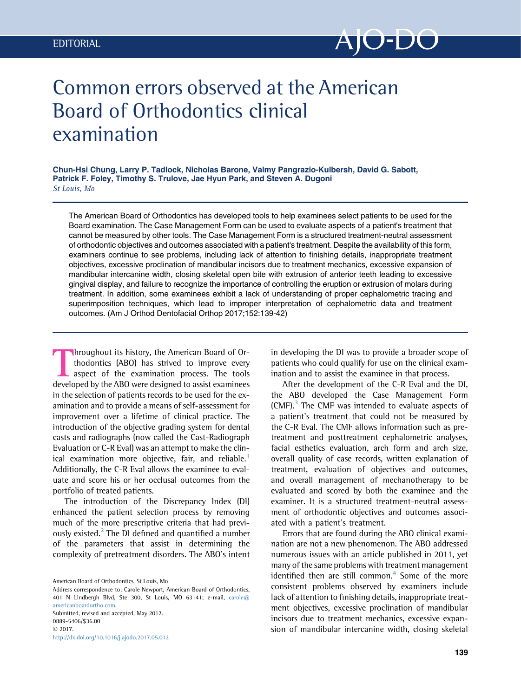

# Common errors observed at the American Board of Orthodontics clinical examination

Chun-Hsi Chung, Larry P. Tadlock, Nicholas Barone, Valmy Pangrazio-Kulbersh, David G. Sabott, Patrick F. Foley, Timothy S. Trulove, Jae Hyun Park, and Steven A. Dugoni St Louis, Mo

The American Board of Orthodontics has developed tools to help examinees select patients to be used for the Board examination. The Case Management Form can be used to evaluate aspects of a patient's treatment that cannot be measured by other tools. The Case Management Form is a structured treatment-neutral assessment of orthodontic objectives and outcomes associated with a patient's treatment. Despite the availability of this form, examiners continue to see problems, including lack of attention to finishing details, inappropriate treatment objectives, excessive proclination of mandibular incisors due to treatment mechanics, excessive expansion of mandibular intercanine width, closing skeletal open bite with extrusion of anterior teeth leading to excessive gingival display, and failure to recognize the importance of controlling the eruption or extrusion of molars during treatment. In addition, some examinees exhibit a lack of understanding of proper cephalometric tracing and superimposition techniques, which lead to improper interpretation of cephalometric data and treatment outcomes. (Am J Orthod Dentofacial Orthop 2017;152:139-42)

Ihroughout its history, the American Board of Orthodontics (ABO) has strived to improve every aspect of the examination process. The tools developed by the ABO were designed to assist examinees in the selection of patients records to be used for the examination and to provide a means of self-assessment for improvement over a lifetime of clinical practice. The introduction of the objective grading system for dental casts and radiographs (now called the Cast-Radiograph Evaluation or C-R Eval) was an attempt to make the clin-ical examination more objective, fair, and reliable.<sup>[1](#page-2-0)</sup> Additionally, the C-R Eval allows the examinee to evaluate and score his or her occlusal outcomes from the portfolio of treated patients.

The introduction of the Discrepancy Index (DI) enhanced the patient selection process by removing much of the more prescriptive criteria that had previously existed. $2$  The DI defined and quantified a number of the parameters that assist in determining the complexity of pretreatment disorders. The ABO's intent

<http://dx.doi.org/10.1016/j.ajodo.2017.05.012>

in developing the DI was to provide a broader scope of patients who could qualify for use on the clinical examination and to assist the examinee in that process.

After the development of the C-R Eval and the DI, the ABO developed the Case Management Form  $(CMF).$ <sup>[3](#page-3-0)</sup> The CMF was intended to evaluate aspects of a patient's treatment that could not be measured by the C-R Eval. The CMF allows information such as pretreatment and posttreatment cephalometric analyses, facial esthetics evaluation, arch form and arch size, overall quality of case records, written explanation of treatment, evaluation of objectives and outcomes, and overall management of mechanotherapy to be evaluated and scored by both the examinee and the examiner. It is a structured treatment-neutral assessment of orthodontic objectives and outcomes associated with a patient's treatment.

Errors that are found during the ABO clinical examination are not a new phenomenon. The ABO addressed numerous issues with an article published in 2011, yet many of the same problems with treatment management identified then are still common. $4$  Some of the more consistent problems observed by examiners include lack of attention to finishing details, inappropriate treatment objectives, excessive proclination of mandibular incisors due to treatment mechanics, excessive expansion of mandibular intercanine width, closing skeletal

American Board of Orthodontics, St Louis, Mo

Address correspondence to: Carole Newport, American Board of Orthodontics, 401 N Lindbergh Blvd, Ste 300, St Louis, MO 63141; e-mail, [carole@](mailto:carole@americanboardortho.com) [americanboardortho.com](mailto:carole@americanboardortho.com). Submitted, revised and accepted, May 2017. 0889-5406/\$36.00 © 2017.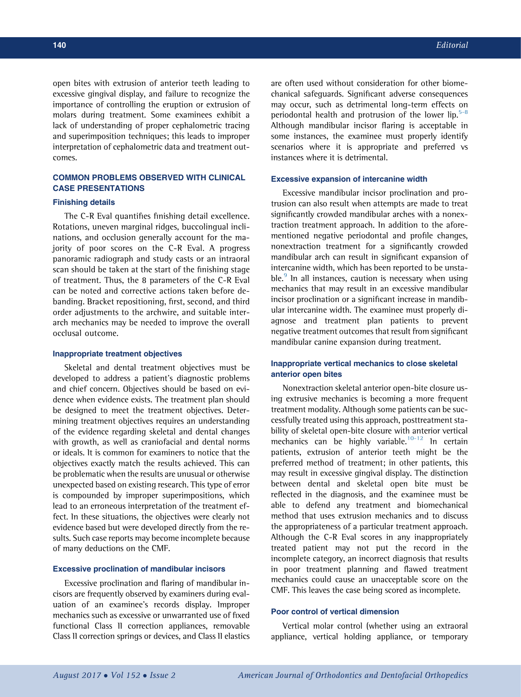open bites with extrusion of anterior teeth leading to excessive gingival display, and failure to recognize the importance of controlling the eruption or extrusion of molars during treatment. Some examinees exhibit a lack of understanding of proper cephalometric tracing and superimposition techniques; this leads to improper interpretation of cephalometric data and treatment outcomes.

## COMMON PROBLEMS OBSERVED WITH CLINICAL CASE PRESENTATIONS

## Finishing details

The C-R Eval quantifies finishing detail excellence. Rotations, uneven marginal ridges, buccolingual inclinations, and occlusion generally account for the majority of poor scores on the C-R Eval. A progress panoramic radiograph and study casts or an intraoral scan should be taken at the start of the finishing stage of treatment. Thus, the 8 parameters of the C-R Eval can be noted and corrective actions taken before debanding. Bracket repositioning, first, second, and third order adjustments to the archwire, and suitable interarch mechanics may be needed to improve the overall occlusal outcome.

#### Inappropriate treatment objectives

Skeletal and dental treatment objectives must be developed to address a patient's diagnostic problems and chief concern. Objectives should be based on evidence when evidence exists. The treatment plan should be designed to meet the treatment objectives. Determining treatment objectives requires an understanding of the evidence regarding skeletal and dental changes with growth, as well as craniofacial and dental norms or ideals. It is common for examiners to notice that the objectives exactly match the results achieved. This can be problematic when the results are unusual or otherwise unexpected based on existing research. This type of error is compounded by improper superimpositions, which lead to an erroneous interpretation of the treatment effect. In these situations, the objectives were clearly not evidence based but were developed directly from the results. Such case reports may become incomplete because of many deductions on the CMF.

#### Excessive proclination of mandibular incisors

Excessive proclination and flaring of mandibular incisors are frequently observed by examiners during evaluation of an examinee's records display. Improper mechanics such as excessive or unwarranted use of fixed functional Class II correction appliances, removable Class II correction springs or devices, and Class II elastics are often used without consideration for other biomechanical safeguards. Significant adverse consequences may occur, such as detrimental long-term effects on periodontal health and protrusion of the lower lip. $5-8$ Although mandibular incisor flaring is acceptable in some instances, the examinee must properly identify scenarios where it is appropriate and preferred vs instances where it is detrimental.

#### Excessive expansion of intercanine width

Excessive mandibular incisor proclination and protrusion can also result when attempts are made to treat significantly crowded mandibular arches with a nonextraction treatment approach. In addition to the aforementioned negative periodontal and profile changes, nonextraction treatment for a significantly crowded mandibular arch can result in significant expansion of intercanine width, which has been reported to be unsta-ble.<sup>[9](#page-3-0)</sup> In all instances, caution is necessary when using mechanics that may result in an excessive mandibular incisor proclination or a significant increase in mandibular intercanine width. The examinee must properly diagnose and treatment plan patients to prevent negative treatment outcomes that result from significant mandibular canine expansion during treatment.

## Inappropriate vertical mechanics to close skeletal anterior open bites

Nonextraction skeletal anterior open-bite closure using extrusive mechanics is becoming a more frequent treatment modality. Although some patients can be successfully treated using this approach, posttreatment stability of skeletal open-bite closure with anterior vertical mechanics can be highly variable.<sup>[10-12](#page-3-0)</sup> In certain patients, extrusion of anterior teeth might be the preferred method of treatment; in other patients, this may result in excessive gingival display. The distinction between dental and skeletal open bite must be reflected in the diagnosis, and the examinee must be able to defend any treatment and biomechanical method that uses extrusion mechanics and to discuss the appropriateness of a particular treatment approach. Although the C-R Eval scores in any inappropriately treated patient may not put the record in the incomplete category, an incorrect diagnosis that results in poor treatment planning and flawed treatment mechanics could cause an unacceptable score on the CMF. This leaves the case being scored as incomplete.

## Poor control of vertical dimension

Vertical molar control (whether using an extraoral appliance, vertical holding appliance, or temporary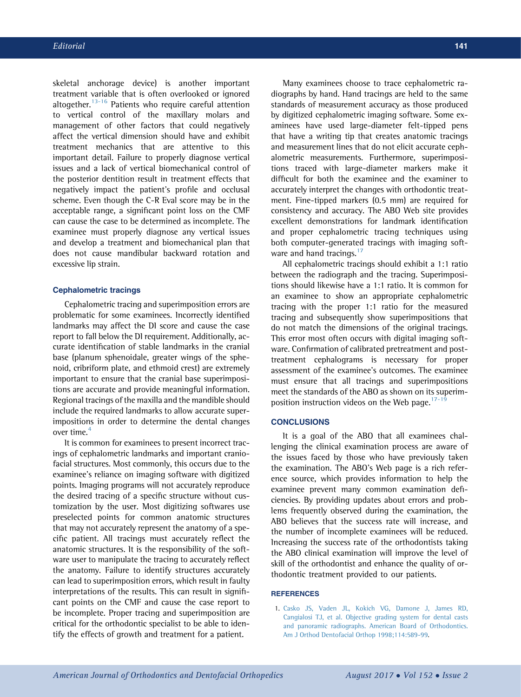<span id="page-2-0"></span>skeletal anchorage device) is another important treatment variable that is often overlooked or ignored altogether. $13-16$  Patients who require careful attention to vertical control of the maxillary molars and management of other factors that could negatively affect the vertical dimension should have and exhibit treatment mechanics that are attentive to this important detail. Failure to properly diagnose vertical issues and a lack of vertical biomechanical control of the posterior dentition result in treatment effects that negatively impact the patient's profile and occlusal scheme. Even though the C-R Eval score may be in the acceptable range, a significant point loss on the CMF can cause the case to be determined as incomplete. The examinee must properly diagnose any vertical issues and develop a treatment and biomechanical plan that does not cause mandibular backward rotation and excessive lip strain.

#### Cephalometric tracings

Cephalometric tracing and superimposition errors are problematic for some examinees. Incorrectly identified landmarks may affect the DI score and cause the case report to fall below the DI requirement. Additionally, accurate identification of stable landmarks in the cranial base (planum sphenoidale, greater wings of the sphenoid, cribriform plate, and ethmoid crest) are extremely important to ensure that the cranial base superimpositions are accurate and provide meaningful information. Regional tracings of the maxilla and the mandible should include the required landmarks to allow accurate superimpositions in order to determine the dental changes over time.<sup>[4](#page-3-0)</sup>

It is common for examinees to present incorrect tracings of cephalometric landmarks and important craniofacial structures. Most commonly, this occurs due to the examinee's reliance on imaging software with digitized points. Imaging programs will not accurately reproduce the desired tracing of a specific structure without customization by the user. Most digitizing softwares use preselected points for common anatomic structures that may not accurately represent the anatomy of a specific patient. All tracings must accurately reflect the anatomic structures. It is the responsibility of the software user to manipulate the tracing to accurately reflect the anatomy. Failure to identify structures accurately can lead to superimposition errors, which result in faulty interpretations of the results. This can result in significant points on the CMF and cause the case report to be incomplete. Proper tracing and superimposition are critical for the orthodontic specialist to be able to identify the effects of growth and treatment for a patient.

Many examinees choose to trace cephalometric radiographs by hand. Hand tracings are held to the same standards of measurement accuracy as those produced by digitized cephalometric imaging software. Some examinees have used large-diameter felt-tipped pens that have a writing tip that creates anatomic tracings and measurement lines that do not elicit accurate cephalometric measurements. Furthermore, superimpositions traced with large-diameter markers make it difficult for both the examinee and the examiner to accurately interpret the changes with orthodontic treatment. Fine-tipped markers (0.5 mm) are required for consistency and accuracy. The ABO Web site provides excellent demonstrations for landmark identification and proper cephalometric tracing techniques using both computer-generated tracings with imaging soft-ware and hand tracings.<sup>[17](#page-3-0)</sup>

All cephalometric tracings should exhibit a 1:1 ratio between the radiograph and the tracing. Superimpositions should likewise have a 1:1 ratio. It is common for an examinee to show an appropriate cephalometric tracing with the proper 1:1 ratio for the measured tracing and subsequently show superimpositions that do not match the dimensions of the original tracings. This error most often occurs with digital imaging software. Confirmation of calibrated pretreatment and posttreatment cephalograms is necessary for proper assessment of the examinee's outcomes. The examinee must ensure that all tracings and superimpositions meet the standards of the ABO as shown on its superimposition instruction videos on the Web page. $17-19$ 

## **CONCLUSIONS**

It is a goal of the ABO that all examinees challenging the clinical examination process are aware of the issues faced by those who have previously taken the examination. The ABO's Web page is a rich reference source, which provides information to help the examinee prevent many common examination deficiencies. By providing updates about errors and problems frequently observed during the examination, the ABO believes that the success rate will increase, and the number of incomplete examinees will be reduced. Increasing the success rate of the orthodontists taking the ABO clinical examination will improve the level of skill of the orthodontist and enhance the quality of orthodontic treatment provided to our patients.

## **REFERENCES**

1. [Casko JS, Vaden JL, Kokich VG, Damone J, James RD,](http://refhub.elsevier.com/S0889-5406(17)30456-0/sref1) [Cangialosi TJ, et al. Objective grading system for dental casts](http://refhub.elsevier.com/S0889-5406(17)30456-0/sref1) [and panoramic radiographs. American Board of Orthodontics.](http://refhub.elsevier.com/S0889-5406(17)30456-0/sref1) [Am J Orthod Dentofacial Orthop 1998;114:589-99](http://refhub.elsevier.com/S0889-5406(17)30456-0/sref1).